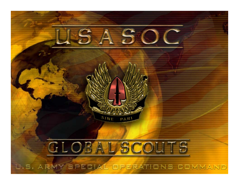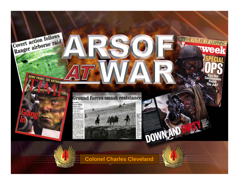

**Colonel Charles Cleveland**

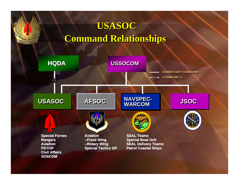#### **Command Relationships Command Relationships USASOC**

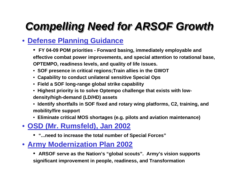### *Compelling Need for ARSOF Growth Compelling Need for ARSOF Growth*

#### • **Defense Planning Guidance**

- **FY 04-09 POM priorities Forward basing, immediately employable and effective combat power improvements, and special attention to rotational base, OPTEMPO, readiness levels, and quality of life issues.**
- • **SOF presence in critical regions;Train allies in the GWOT**
- • **Capability to conduct unilateral sensitive Special Ops**
- • **Field a SOF long-range global strike capability**
- • **Highest priority is to solve Optempo challenge that exists with lowdensity/high-demand (LD/HD) assets**
- • **Identify shortfalls in SOF fixed and rotary wing platforms, C2, training, and mobility/fire support**
- • **Eliminate critical MOS shortages (e.g. pilots and aviation maintenance)**

#### • **OSD (Mr. Rumsfeld), Jan 2002**

- **"...need to increase the total number of Special Forces"**
- • **Army Modernization Plan 2002**
	- **ARSOF serve as the Nation's "global scouts". Army's vision supports significant improvement in people, readiness, and Transformation**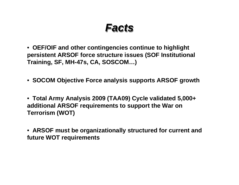*Facts Facts*

• **OEF/OIF and other contingencies continue to highlight persistent ARSOF force structure issues (SOF Institutional Training, SF, MH-47s, CA, SOSCOM…)**

- • **SOCOM Objective Force analysis supports ARSOF growth**
- • **Total Army Analysis 2009 (TAA09) Cycle validated 5,000+ additional ARSOF requirements to support the War on Terrorism (WOT)**
- • **ARSOF must be organizationally structured for current and future WOT requirements**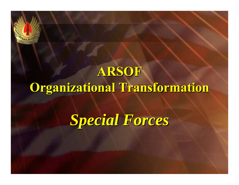*Special Forces Special Forces*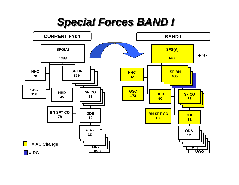#### *Special Forces BAND I Special Forces BAND I*

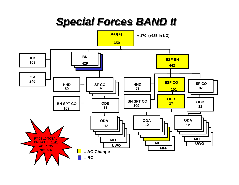*Special Forces BAND II Special Forces BAND II*

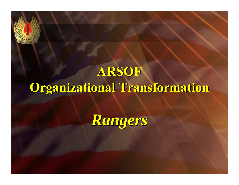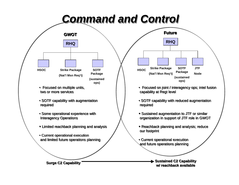### *Command and Control Command and Control*



**Surge C2 Capability Sustained C2 Capability w/ reachback available**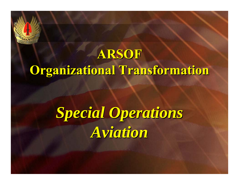# *Special Operations Special Operations Aviation Aviation*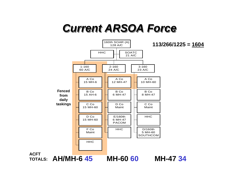### *Current ARSOA Force Current ARSOA Force*

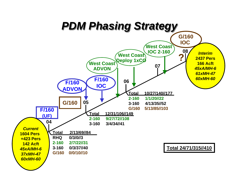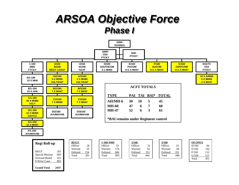#### *ARSOA Objective Force ARSOA Objective Force Phase I Phase I*



**Grand Total 2437**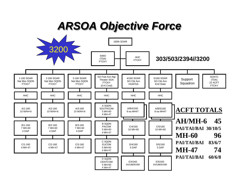*ARSOA Objective Force ARSOA Objective Force*

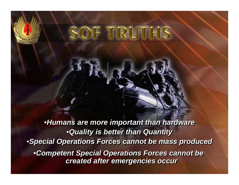# SOF TRUTHS

•*Humans are more important than hardware* •*Humans are more important than hardware* •*Quality is better than Quantity* •*Quality is better than Quantity* •*Special Operations Forces cannot be mass produced* •*Special Operations Forces cannot be mass produced* •*Competent Special Operations Forces cannot be*  •*Competent Special Operations Forces cannot be created after emergencies occur created after emergencies occur*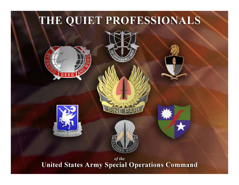#### THE QUIET PROFESSIONALS









of the **United States Army Special Operations Command**